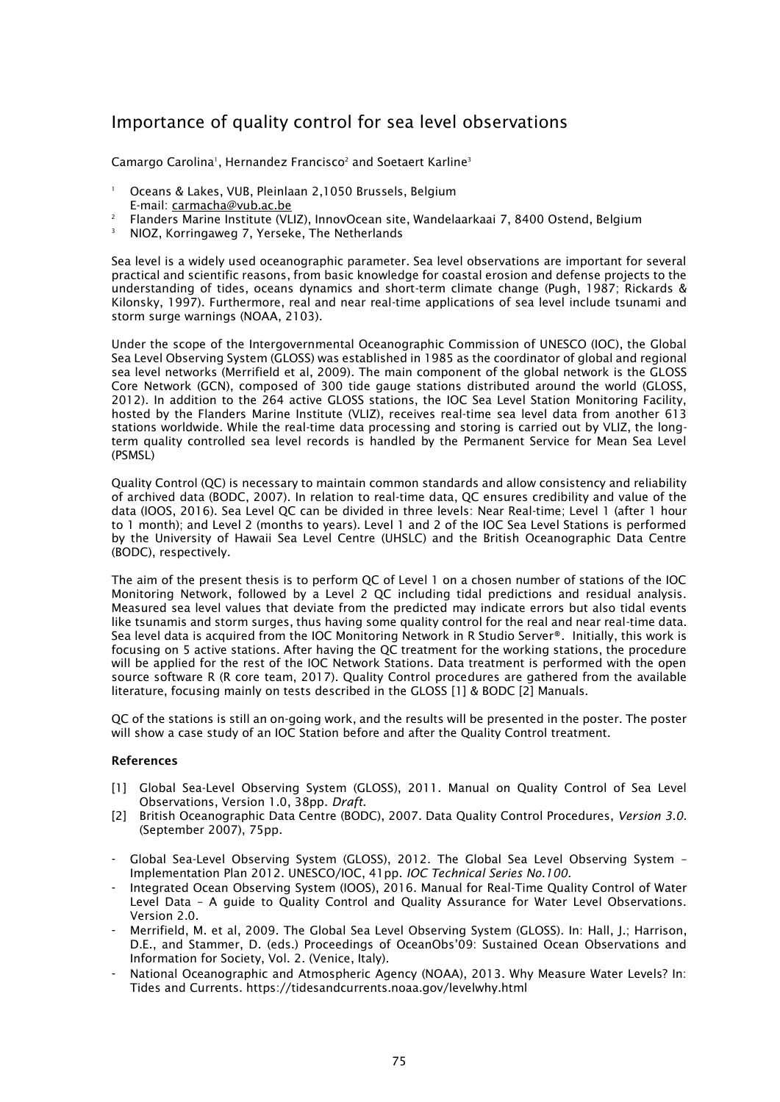## Importance of quality control for sea level observations

Camargo Carolina<sup>1</sup>, Hernandez Francisco<sup>2</sup> and Soetaert Karline<sup>3</sup>

- <sup>1</sup> Oceans & Lakes, VUB, Pleinlaan 2,1050 Brussels, Belgium
- E-mail: [carmacha@vub.ac.be](mailto:carmacha@vub.ac.be)
- <sup>2</sup> Flanders Marine Institute (VLIZ), InnovOcean site, Wandelaarkaai 7, 8400 Ostend, Belgium
- <sup>3</sup> NIOZ, Korringaweg 7, Yerseke, The Netherlands

Sea level is a widely used oceanographic parameter. Sea level observations are important for several practical and scientific reasons, from basic knowledge for coastal erosion and defense projects to the understanding of tides, oceans dynamics and short-term climate change (Pugh, 1987; Rickards & Kilonsky, 1997). Furthermore, real and near real-time applications of sea level include tsunami and storm surge warnings (NOAA, 2103).

Under the scope of the Intergovernmental Oceanographic Commission of UNESCO (IOC), the Global Sea Level Observing System (GLOSS) was established in 1985 as the coordinator of global and regional sea level networks (Merrifield et al, 2009). The main component of the global network is the GLOSS Core Network (GCN), composed of 300 tide gauge stations distributed around the world (GLOSS, 2012). In addition to the 264 active GLOSS stations, the IOC Sea Level Station Monitoring Facility, hosted by the Flanders Marine Institute (VLIZ), receives real-time sea level data from another 613 stations worldwide. While the real-time data processing and storing is carried out by VLIZ, the longterm quality controlled sea level records is handled by the Permanent Service for Mean Sea Level (PSMSL)

Quality Control (QC) is necessary to maintain common standards and allow consistency and reliability of archived data (BODC, 2007). In relation to real-time data, QC ensures credibility and value of the data (IOOS, 2016). Sea Level QC can be divided in three levels: Near Real-time; Level 1 (after 1 hour to 1 month); and Level 2 (months to years). Level 1 and 2 of the IOC Sea Level Stations is performed by the University of Hawaii Sea Level Centre (UHSLC) and the British Oceanographic Data Centre (BODC), respectively.

The aim of the present thesis is to perform QC of Level 1 on a chosen number of stations of the IOC Monitoring Network, followed by a Level 2 QC including tidal predictions and residual analysis. Measured sea level values that deviate from the predicted may indicate errors but also tidal events like tsunamis and storm surges, thus having some quality control for the real and near real-time data. Sea level data is acquired from the IOC Monitoring Network in R Studio Server®. Initially, this work is focusing on 5 active stations. After having the QC treatment for the working stations, the procedure will be applied for the rest of the IOC Network Stations. Data treatment is performed with the open source software R (R core team, 2017). Quality Control procedures are gathered from the available literature, focusing mainly on tests described in the GLOSS [1] & BODC [2] Manuals.

QC of the stations is still an on-going work, and the results will be presented in the poster. The poster will show a case study of an IOC Station before and after the Quality Control treatment.

## **References**

- [1] Global Sea-Level Observing System (GLOSS), 2011. Manual on Quality Control of Sea Level Observations, Version 1.0, 38pp. *Draft*.
- [2] British Oceanographic Data Centre (BODC), 2007. Data Quality Control Procedures, *Version 3.0.* (September 2007), 75pp.
- Global Sea-Level Observing System (GLOSS), 2012. The Global Sea Level Observing System Implementation Plan 2012. UNESCO/IOC, 41pp. *IOC Technical Series No.100.*
- Integrated Ocean Observing System (IOOS), 2016. Manual for Real-Time Quality Control of Water Level Data – A guide to Quality Control and Quality Assurance for Water Level Observations. Version 2.0.
- Merrifield, M. et al, 2009. The Global Sea Level Observing System (GLOSS). In: Hall, J.; Harrison, D.E., and Stammer, D. (eds.) Proceedings of OceanObs'09: Sustained Ocean Observations and Information for Society, Vol. 2. (Venice, Italy).
- National Oceanographic and Atmospheric Agency (NOAA), 2013. Why Measure Water Levels? In: Tides and Currents. https://tidesandcurrents.noaa.gov/levelwhy.html